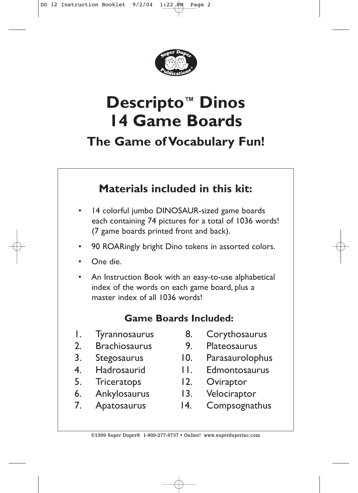

# **Descripto™ Dinos 14 Game Boards**

**The Game of Vocabulary Fun!**

# **Materials included in this kit:**

- 14 colorful jumbo DINOSAUR-sized game boards each containing 74 pictures for a total of 1036 words! (7 game boards printed front and back).
- 90 ROARingly bright Dino tokens in assorted colors.
- One die.
- An Instruction Book with an easy-to-use alphabetical index of the words on each game board, plus a master index of all 1036 words!

# **Game Boards Included:**

- 1. Tyrannosaurus
- 2. Brachiosaurus
- 3. Stegosaurus
- 4. Hadrosaurid
- 5. Triceratops
- 6. Ankylosaurus
- 7. Apatosaurus
- 8. Corythosaurus
- 
- 9. Plateosaurus<br>10. Parasaurolon Parasaurolophus
- 11. Edmontosaurus
- 12. Oviraptor
- 13. Velociraptor
- 14. Compsognathus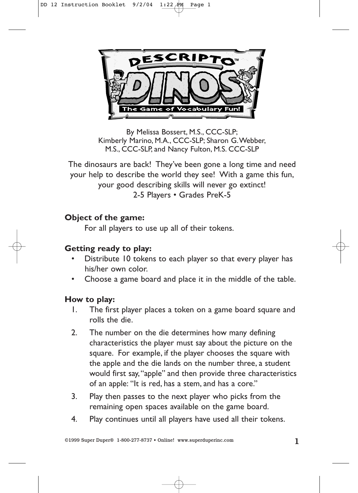

By Melissa Bossert, M.S., CCC-SLP; Kimberly Marino, M.A., CCC-SLP; Sharon G.Webber, M.S., CCC-SLP, and Nancy Fulton, M.S. CCC-SLP

The dinosaurs are back! They've been gone a long time and need your help to describe the world they see! With a game this fun, your good describing skills will never go extinct! 2-5 Players • Grades PreK-5

#### **Object of the game:**

For all players to use up all of their tokens.

#### **Getting ready to play:**

- Distribute 10 tokens to each player so that every player has his/her own color.
- Choose a game board and place it in the middle of the table.

#### **How to play:**

- 1. The first player places a token on a game board square and rolls the die.
- 2. The number on the die determines how many defining characteristics the player must say about the picture on the square. For example, if the player chooses the square with the apple and the die lands on the number three, a student would first say,"apple" and then provide three characteristics of an apple: "It is red, has a stem, and has a core."
- 3. Play then passes to the next player who picks from the remaining open spaces available on the game board.
- 4. Play continues until all players have used all their tokens.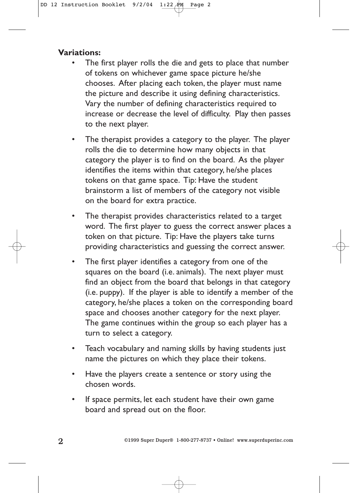#### **Variations:**

- The first player rolls the die and gets to place that number of tokens on whichever game space picture he/she chooses. After placing each token, the player must name the picture and describe it using defining characteristics. Vary the number of defining characteristics required to increase or decrease the level of difficulty. Play then passes to the next player.
- The therapist provides a category to the player. The player rolls the die to determine how many objects in that category the player is to find on the board. As the player identifies the items within that category, he/she places tokens on that game space. Tip: Have the student brainstorm a list of members of the category not visible on the board for extra practice.
- The therapist provides characteristics related to a target word. The first player to guess the correct answer places a token on that picture. Tip: Have the players take turns providing characteristics and guessing the correct answer.
- The first player identifies a category from one of the squares on the board (i.e. animals). The next player must find an object from the board that belongs in that category (i.e. puppy). If the player is able to identify a member of the category, he/she places a token on the corresponding board space and chooses another category for the next player. The game continues within the group so each player has a turn to select a category.
- Teach vocabulary and naming skills by having students just name the pictures on which they place their tokens.
- Have the players create a sentence or story using the chosen words.
- If space permits, let each student have their own game board and spread out on the floor.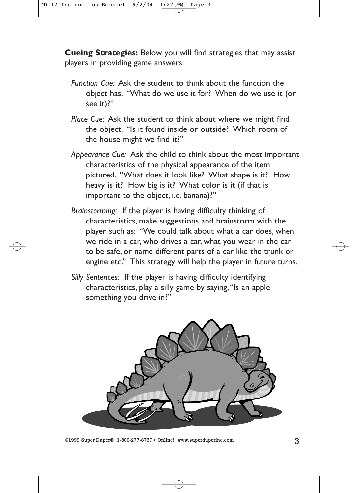**Cueing Strategies:** Below you will find strategies that may assist players in providing game answers:

- *Function Cue:* Ask the student to think about the function the object has. "What do we use it for? When do we use it (or see it)?"
- *Place Cue:* Ask the student to think about where we might find the object. "Is it found inside or outside? Which room of the house might we find it?"
- *Appearance Cue:* Ask the child to think about the most important characteristics of the physical appearance of the item pictured. "What does it look like? What shape is it? How heavy is it? How big is it? What color is it (if that is important to the object, i.e. banana)?"
- *Brainstorming:* If the player is having difficulty thinking of characteristics, make suggestions and brainstorm with the player such as: "We could talk about what a car does, when we ride in a car, who drives a car, what you wear in the car to be safe, or name different parts of a car like the trunk or engine etc." This strategy will help the player in future turns.
- *Silly Sentences:* If the player is having difficulty identifying characteristics, play a silly game by saying,"Is an apple something you drive in?"

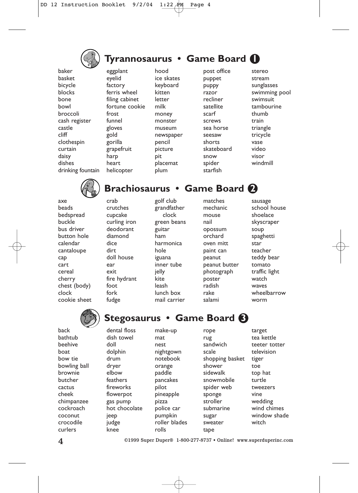

### **Tyrannosaurus • Game Board 1**

baker basket bicycle blocks bone bowl broccoli cash register castle cliff clothespin curtain daisy dishes drinking fountain eggplant eyelid factory ferris wheel filing cabinet fortune cookie frost funnel gloves gold gorilla grapefruit harp heart helicopter

hood ice skates keyboard kitten letter milk money monster museum newspaper pencil picture pit placemat plum

post office puppet puppy razor recliner satellite scarf screws sea horse seesaw shorts skateboard snow spider starfish





crab

dice dirt

ear exit

foot fork fudge

axe beads bedspread buckle bus driver button hole calendar cantaloupe cap cart cereal cherry chest (body) clock cookie sheet

## **Brachiosaurus • Game Board 2**

crutches cupcake curling iron deodorant diamond doll house fire hydrant

golf club grandfather clock green beans guitar ham harmonica hole iguana inner tube jelly kite leash lunch box mail carrier

matches mechanic mouse nail opossum orchard oven mitt paint can peanut peanut butter photograph poster radish rake salami

sausage school house shoelace skyscraper soup spaghetti star teacher teddy bear tomato traffic light watch waves wheelbarrow worm



back bathtub beehive boat bow tie bowling ball brownie butcher cactus cheek chimpanzee cockroach coconut crocodile curlers

# **Stegosaurus • Game Board 3**

make-up

dental floss dish towel doll dolphin drum dryer elbow feathers fireworks flowerpot gas pump hot chocolate jeep judge knee

mat nest nightgown notebook orange paddle pancakes pilot pineapple pizza police car pumpkin roller blades rolls

rope rug sandwich scale shopping basket shower sidewalk snowmobile spider web sponge stroller submarine sugar sweater tape

target tea kettle teeter totter television tiger toe top hat turtle tweezers vine wedding wind chimes window shade witch

4 ©1999 Super Duper® 1-800-277-8737 • Online! www.superduperinc.com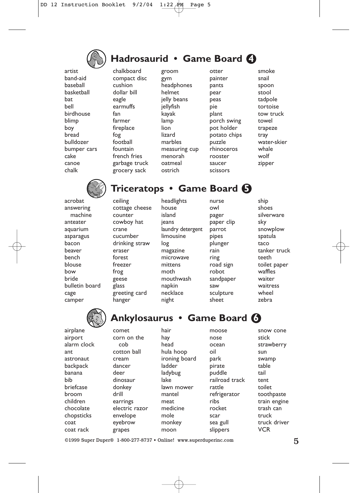

# **Hadrosaurid • Game Board 4**

artist band-aid baseball basketball bat bell birdhouse blimp boy bread bulldozer bumper cars cake canoe chalk

chalkboard compact disc cushion dollar bill eagle earmuffs fan farmer fireplace fog football fountain french fries garbage truck grocery sack

ceiling cottage cheese counter cowboy hat crane cucumber drinking straw eraser forest freezer frog geese glass greeting card hanger

groom gym headphones helmet jelly beans jellyfish kayak lamp lion lizard marbles measuring cup menorah oatmeal ostrich

otter painter pants pear peas pie plant porch swing pot holder potato chips puzzle rhinoceros rooster saucer scissors

smoke snail spoon stool tadpole tortoise tow truck towel trapeze tray water-skier whale wolf zipper



acrobat answering machine anteater aquarium asparagus bacon beaver bench blouse bow bride bulletin board cage camper

## **Triceratops • Game Board 5**

headlights house island ieans laundry detergent limousine log magazine microwave mittens moth mouthwash napkin necklace night

nurse owl pager paper clip parrot pipes plunger rain ring road sign robot sandpaper saw sculpture sheet

ship shoes silverware sky snowplow spatula taco tanker truck teeth toilet paper waffles waiter waitress wheel zebra



airplane airport alarm clock ant astronaut backpack banana bib briefcase broom children chocolate chopsticks coat coat rack

# **Ankylosaurus • Game Board 6**

comet corn on the cob cotton ball cream dancer deer dinosaur donkey drill earrings electric razor envelope eyebrow grapes

hair hay head hula hoop ironing board ladder ladybug lake lawn mower mantel meat medicine mole monkey moon

nose ocean oil park pirate puddle railroad track rattle refrigerator ribs rocket scar sea gull slippers

moose

snow cone stick strawberry sun swamp table tail tent toilet toothpaste train engine trash can truck truck driver VCR

©1999 Super Duper® 1-800-277-8737 • Online! www.superduperinc.com 5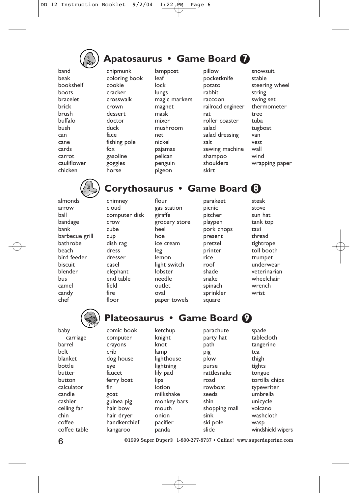

### **Apatosaurus • Game Board 7**

band beak bookshelf boots bracelet brick brush buffalo bush can cane cards carrot cauliflower chicken

arrow ball

bank

beach

biscuit

bus camel candy chef

baby

belt

chipmunk coloring book cookie cracker crosswalk crown dessert doctor duck face fishing pole fox gasoline goggles horse

lamppost leaf lock lungs magic markers magnet mask mixer mushroom net nickel pajamas pelican **penguin** pigeon

pillow pocketknife potato rabbit raccoon railroad engineer rat roller coaster salad salad dressing salt sewing machine shampoo shoulders skirt

snowsuit stable steering wheel string swing set thermometer tree tuba tugboat van vest wall wind wrapping paper



### **Corythosaurus • Game Board 8**

almonds bandage barbecue grill bathrobe bird feeder blender chimney cloud computer disk crow cube cup dish rag dress dresser easel elephant end table field fire floor

flour gas station giraffe grocery store heel hoe ice cream leg lemon light switch lobster needle outlet oval paper towels

picnic pitcher playpen pork chops present pretzel printer rice roof shade snake spinach sprinkler square

parakeet

steak stove sun hat tank top taxi thread tightrope toll booth trumpet underwear veterinarian wheelchair wrench wrist



carriage barrel blanket bottle butter button calculator candle cashier ceiling fan coffee coffee table

# **Plateosaurus • Game Board 9**

ketchup

comic book computer crayons crib dog house eye faucet ferry boat fin goat guinea pig hair bow hair dryer handkerchief kangaroo

knight knot lamp lighthouse lightning lily pad lips lotion milkshake monkey bars mouth onion pacifier panda

parachute party hat path pig plow purse rattlesnake road rowboat seeds shin shopping mall sink ski pole slide

spade tablecloth tangerine tea thigh tights tongue tortilla chips typewriter umbrella unicycle volcano washcloth wasp windshield wipers

chin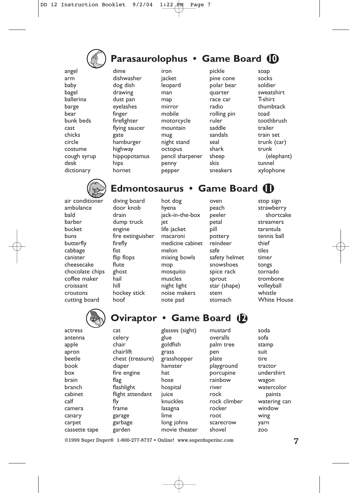

# **Parasaurolophus • Game Board 10**

angel arm baby bagel ballerina barge bear bunk beds cast chicks circle costume cough syrup desk dictionary

dime dishwasher dog dish drawing dust pan eyelashes finger firefighter flying saucer gate hamburger highway hippopotamus hips hornet

iron jacket leopard man map mirror mobile motorcycle mountain mug night stand octopus pencil sharpener penny pepper

pickle pine cone polar bear quarter race car radio rolling pin ruler saddle sandals seal shark sheep skis sneakers

soap socks soldier sweatshirt T-shirt thumbtack toad toothbrush trailer train set trunk (car) trunk (elephant) tunnel xylophone



air conditioner ambulance bald barber bucket buns butterfly cabbage canister cheesecake chocolate chips coffee maker croissant croutons cutting board

### **Edmontosaurus • Game Board 11**

diving board door knob drain dump truck engine fire extinguisher firefly fist flip flops flute ghost hail hill hockey stick hoof

hot dog hyena jack-in-the-box iet life jacket macaroni medicine cabinet melon mixing bowls mop mosquito muscles night light noise makers note pad

peach peeler petal pill pottery reindeer safe safety helmet snowshoes spice rack sprout star (shape) stem stomach

oven

stop sign strawberry shortcake streamers tarantula tennis ball thief tiles timer tongs tornado trombone volleyball whistle White House



actress antenna apple apron beetle book box brain branch cabinet calf camera canary carpet cassette tape cat celery chair chairlift chest (treasure) diaper fire engine flag flashlight flight attendant fly frame garage garbage garden

**Oviraptor • Game Board (2)** 

glasses (sight) glue goldfish grass grasshopper hamster hat hose hospital iuice knuckles lasagna lime long johns movie theater mustard overalls palm tree pen plate playground porcupine rainbow river rock rock climber rocker root scarecrow shovel

soda sofa stamp suit tire tractor undershirt wagon watercolor paints watering can window wing yarn zoo

©1999 Super Duper® 1-800-277-8737 • Online! www.superduperinc.com 7